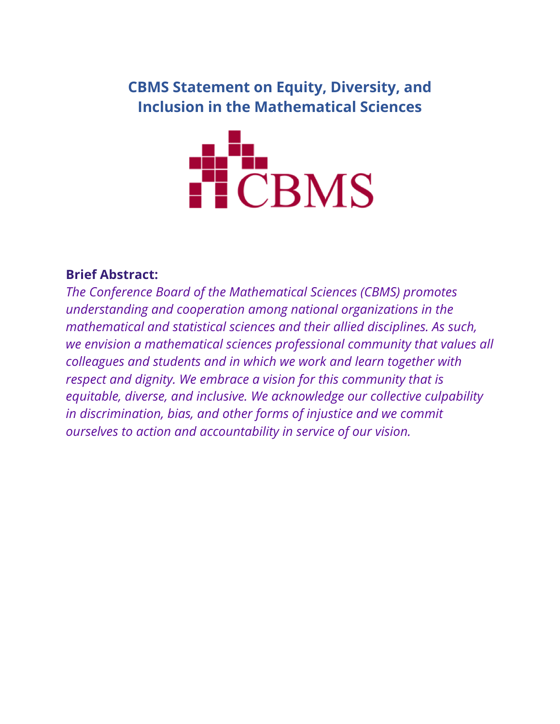## **CBMS Statement on Equity, Diversity, and Inclusion in the Mathematical Sciences**



#### **Brief Abstract:**

*The Conference Board of the Mathematical Sciences (CBMS) promotes understanding and cooperation among national organizations in the mathematical and statistical sciences and their allied disciplines. As such, we envision a mathematical sciences professional community that values all colleagues and students and in which we work and learn together with respect and dignity. We embrace a vision for this community that is equitable, diverse, and inclusive. We acknowledge our collective culpability in discrimination, bias, and other forms of injustice and we commit ourselves to action and accountability in service of our vision.*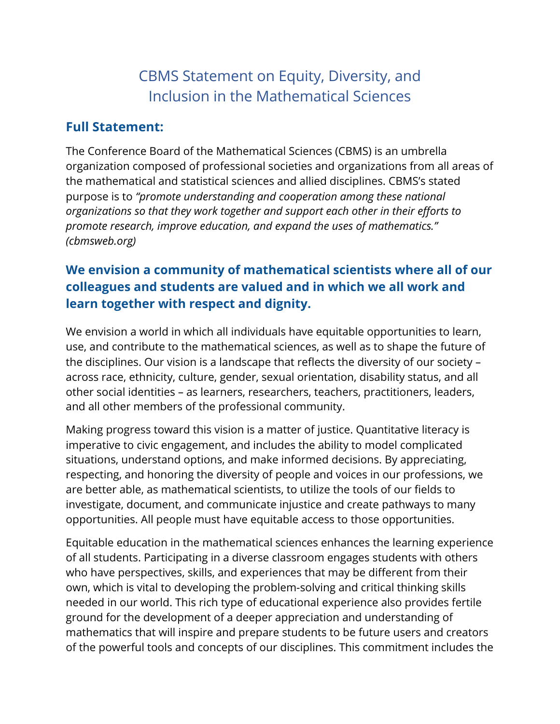# CBMS Statement on Equity, Diversity, and Inclusion in the Mathematical Sciences

#### **Full Statement:**

The Conference Board of the Mathematical Sciences (CBMS) is an umbrella organization composed of professional societies and organizations from all areas of the mathematical and statistical sciences and allied disciplines. CBMS's stated purpose is to *"promote understanding and cooperation among these national organizations so that they work together and support each other in their efforts to promote research, improve education, and expand the uses of mathematics." (cbmsweb.org)*

## **We envision a community of mathematical scientists where all of our colleagues and students are valued and in which we all work and learn together with respect and dignity.**

We envision a world in which all individuals have equitable opportunities to learn, use, and contribute to the mathematical sciences, as well as to shape the future of the disciplines. Our vision is a landscape that reflects the diversity of our society – across race, ethnicity, culture, gender, sexual orientation, disability status, and all other social identities – as learners, researchers, teachers, practitioners, leaders, and all other members of the professional community.

Making progress toward this vision is a matter of justice. Quantitative literacy is imperative to civic engagement, and includes the ability to model complicated situations, understand options, and make informed decisions. By appreciating, respecting, and honoring the diversity of people and voices in our professions, we are better able, as mathematical scientists, to utilize the tools of our fields to investigate, document, and communicate injustice and create pathways to many opportunities. All people must have equitable access to those opportunities.

Equitable education in the mathematical sciences enhances the learning experience of all students. Participating in a diverse classroom engages students with others who have perspectives, skills, and experiences that may be different from their own, which is vital to developing the problem-solving and critical thinking skills needed in our world. This rich type of educational experience also provides fertile ground for the development of a deeper appreciation and understanding of mathematics that will inspire and prepare students to be future users and creators of the powerful tools and concepts of our disciplines. This commitment includes the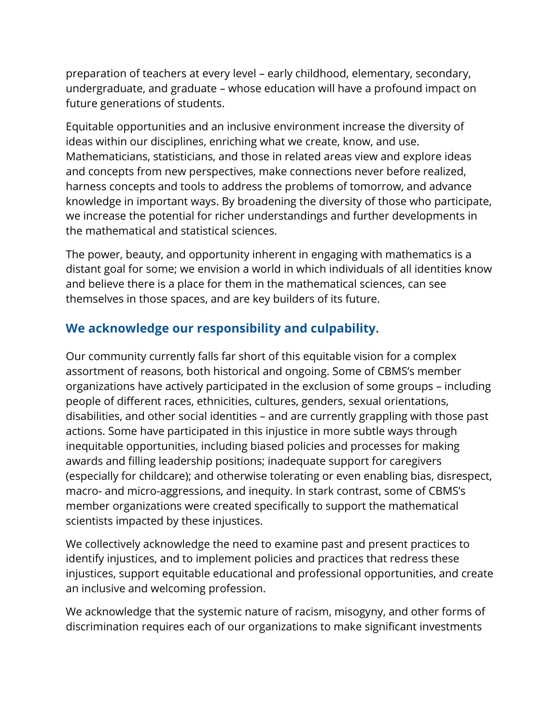preparation of teachers at every level – early childhood, elementary, secondary, undergraduate, and graduate – whose education will have a profound impact on future generations of students.

Equitable opportunities and an inclusive environment increase the diversity of ideas within our disciplines, enriching what we create, know, and use. Mathematicians, statisticians, and those in related areas view and explore ideas and concepts from new perspectives, make connections never before realized, harness concepts and tools to address the problems of tomorrow, and advance knowledge in important ways. By broadening the diversity of those who participate, we increase the potential for richer understandings and further developments in the mathematical and statistical sciences.

The power, beauty, and opportunity inherent in engaging with mathematics is a distant goal for some; we envision a world in which individuals of all identities know and believe there is a place for them in the mathematical sciences, can see themselves in those spaces, and are key builders of its future.

### **We acknowledge our responsibility and culpability.**

Our community currently falls far short of this equitable vision for a complex assortment of reasons, both historical and ongoing. Some of CBMS's member organizations have actively participated in the exclusion of some groups – including people of different races, ethnicities, cultures, genders, sexual orientations, disabilities, and other social identities – and are currently grappling with those past actions. Some have participated in this injustice in more subtle ways through inequitable opportunities, including biased policies and processes for making awards and filling leadership positions; inadequate support for caregivers (especially for childcare); and otherwise tolerating or even enabling bias, disrespect, macro- and micro-aggressions, and inequity. In stark contrast, some of CBMS's member organizations were created specifically to support the mathematical scientists impacted by these injustices.

We collectively acknowledge the need to examine past and present practices to identify injustices, and to implement policies and practices that redress these injustices, support equitable educational and professional opportunities, and create an inclusive and welcoming profession.

We acknowledge that the systemic nature of racism, misogyny, and other forms of discrimination requires each of our organizations to make significant investments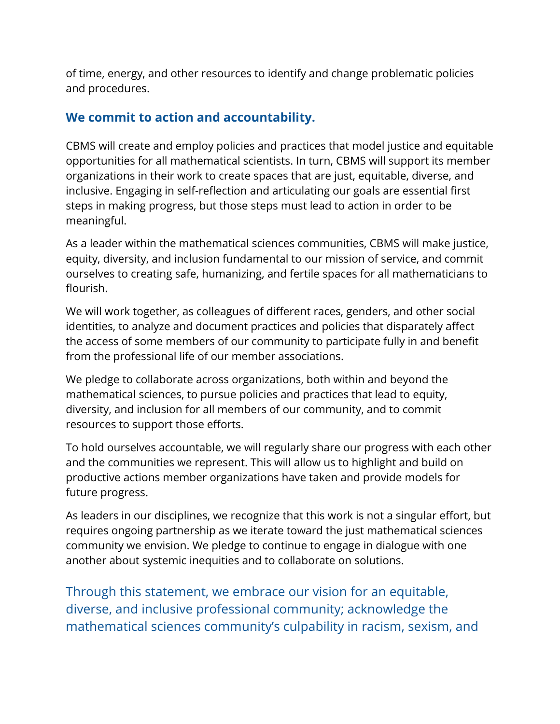of time, energy, and other resources to identify and change problematic policies and procedures.

### **We commit to action and accountability.**

CBMS will create and employ policies and practices that model justice and equitable opportunities for all mathematical scientists. In turn, CBMS will support its member organizations in their work to create spaces that are just, equitable, diverse, and inclusive. Engaging in self-reflection and articulating our goals are essential first steps in making progress, but those steps must lead to action in order to be meaningful.

As a leader within the mathematical sciences communities, CBMS will make justice, equity, diversity, and inclusion fundamental to our mission of service, and commit ourselves to creating safe, humanizing, and fertile spaces for all mathematicians to flourish.

We will work together, as colleagues of different races, genders, and other social identities, to analyze and document practices and policies that disparately affect the access of some members of our community to participate fully in and benefit from the professional life of our member associations.

We pledge to collaborate across organizations, both within and beyond the mathematical sciences, to pursue policies and practices that lead to equity, diversity, and inclusion for all members of our community, and to commit resources to support those efforts.

To hold ourselves accountable, we will regularly share our progress with each other and the communities we represent. This will allow us to highlight and build on productive actions member organizations have taken and provide models for future progress.

As leaders in our disciplines, we recognize that this work is not a singular effort, but requires ongoing partnership as we iterate toward the just mathematical sciences community we envision. We pledge to continue to engage in dialogue with one another about systemic inequities and to collaborate on solutions.

Through this statement, we embrace our vision for an equitable, diverse, and inclusive professional community; acknowledge the mathematical sciences community's culpability in racism, sexism, and